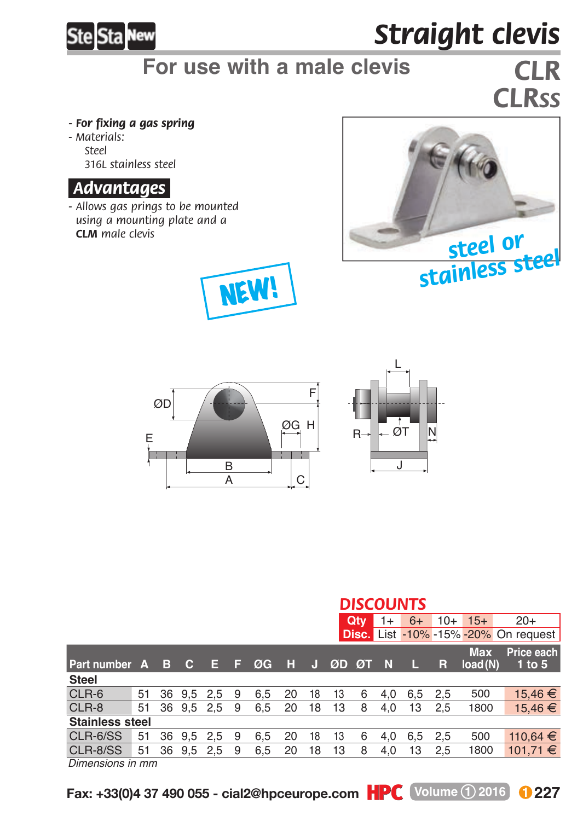

## *Straight clevis*

### **For use with a male clevis** *CLR*

# *CLRSS*

- *For fixing a gas spring*
- *M aterials: Steel 316L stainless steel*

#### *.Advantages.*

*- Allows gas prings to be mounted using a mounting plate and a CLM male clevis*









|                        | <b>DISCOUNTS</b> |     |           |            |   |     |    |    |    |       |      |      |       |                       |                                             |
|------------------------|------------------|-----|-----------|------------|---|-----|----|----|----|-------|------|------|-------|-----------------------|---------------------------------------------|
|                        |                  |     |           |            |   |     |    |    |    | Qtv   | $1+$ | $6+$ | $10+$ | $15+$                 | $20+$                                       |
|                        |                  |     |           |            |   |     |    |    |    |       |      |      |       |                       | <b>Disc.</b> List -10% -15% -20% On request |
| Part number A          |                  | - B | <b>C</b>  | Е          | Е | ØG  | н  | ы  |    | ØD ØT | N    |      | R     | <b>Max</b><br>load(N) | Price each<br>1 to 5                        |
| <b>Steel</b>           |                  |     |           |            |   |     |    |    |    |       |      |      |       |                       |                                             |
| CLR-6                  | 51               | 36  | 9.5       | 2.5        | 9 | 6.5 | 20 | 18 | 13 | 6     | 4.0  | 6.5  | 2.5   | 500                   | 15.46 €                                     |
| CLR-8                  | 51               |     |           | 36 9.5 2.5 | 9 | 6.5 | 20 | 18 | 13 | 8     | 4.0  | 13   | 2.5   | 1800                  | 15.46 €                                     |
| <b>Stainless steel</b> |                  |     |           |            |   |     |    |    |    |       |      |      |       |                       |                                             |
| CLR-6/SS               | 51               | 36  | 9.5       | 2.5        | 9 | 6.5 | 20 | 18 | 13 | 6     | 4.0  | 6.5  | 2.5   | 500                   | $110.64 \t∈$                                |
| CLR-8/SS               | 51               | 36  | $9.5$ 2.5 |            | 9 | 6.5 | 20 | 18 | 13 | 8     | 4.0  | 13   | 2.5   | 1800                  | 101.71 €                                    |
|                        |                  |     |           |            |   |     |    |    |    |       |      |      |       |                       |                                             |

*Dimensions in mm*